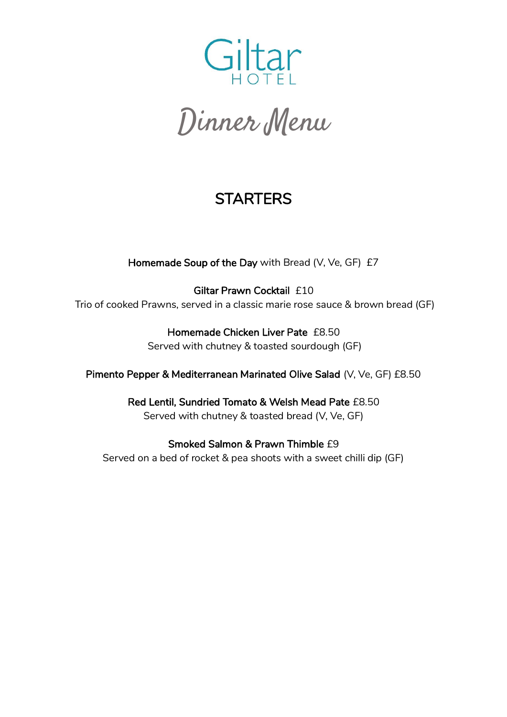

## **STARTERS**

Homemade Soup of the Day with Bread (V, Ve, GF) £7

Giltar Prawn Cocktail £10 Trio of cooked Prawns, served in a classic marie rose sauce & brown bread (GF)

> Homemade Chicken Liver Pate £8.50 Served with chutney & toasted sourdough (GF)

Pimento Pepper & Mediterranean Marinated Olive Salad (V, Ve, GF) £8.50

Red Lentil, Sundried Tomato & Welsh Mead Pate £8.50 Served with chutney & toasted bread (V, Ve, GF)

Smoked Salmon & Prawn Thimble £9 Served on a bed of rocket & pea shoots with a sweet chilli dip (GF)